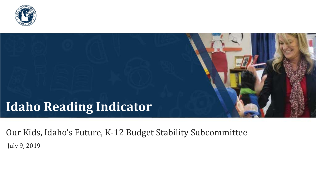

# **Idaho Reading Indicator**

Our Kids, Idaho's Future, K-12 Budget Stability Subcommittee July 9, 2019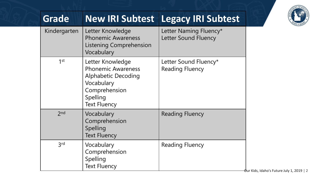| E OF IDAN |
|-----------|
|-----------|

| <b>Grade</b>    |                                                                                                                                               | <b>New IRI Subtest Legacy IRI Subtest</b>             |
|-----------------|-----------------------------------------------------------------------------------------------------------------------------------------------|-------------------------------------------------------|
| Kindergarten    | Letter Knowledge<br><b>Phonemic Awareness</b><br><b>Listening Comprehension</b><br>Vocabulary                                                 | Letter Naming Fluency*<br><b>Letter Sound Fluency</b> |
| $1$ st          | Letter Knowledge<br><b>Phonemic Awareness</b><br><b>Alphabetic Decoding</b><br>Vocabulary<br>Comprehension<br>Spelling<br><b>Text Fluency</b> | Letter Sound Fluency*<br><b>Reading Fluency</b>       |
| 2 <sub>nd</sub> | Vocabulary<br>Comprehension<br>Spelling<br><b>Text Fluency</b>                                                                                | <b>Reading Fluency</b>                                |
| 3 <sub>rd</sub> | Vocabulary<br>Comprehension<br>Spelling<br><b>Text Fluency</b>                                                                                | <b>Reading Fluency</b>                                |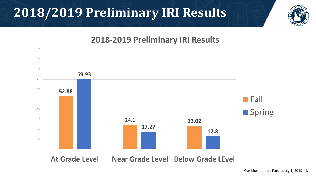## **2018/2019 Preliminary IRI Results**



### **2018-2019 Preliminary IRI Results**

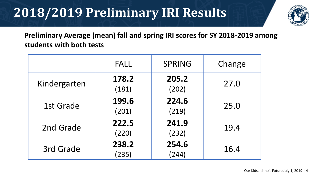# **2018/2019 Preliminary IRI Results**



**Preliminary Average (mean) fall and spring IRI scores for SY 2018-2019 among students with both tests**

|              | <b>FALL</b>    | <b>SPRING</b>  | Change |
|--------------|----------------|----------------|--------|
| Kindergarten | 178.2<br>(181) | 205.2<br>(202) | 27.0   |
| 1st Grade    | 199.6<br>(201) | 224.6<br>(219) | 25.0   |
| 2nd Grade    | 222.5<br>(220) | 241.9<br>(232) | 19.4   |
| 3rd Grade    | 238.2<br>(235) | 254.6<br>(244) | 16.4   |